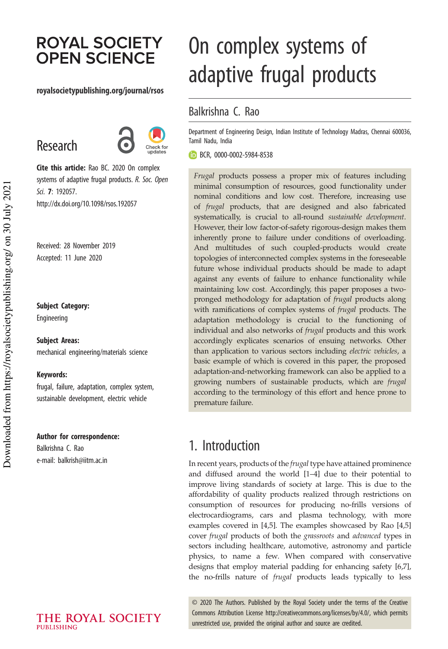## **ROYAL SOCIETY OPEN SCIENCE**

#### royalsocietypublishing.org/journal/rsos

## Research



Cite this article: Rao BC. 2020 On complex systems of adaptive frugal products. *R. Soc. Open Sci.* 7: 192057. http://dx.doi.org/10.1098/rsos.192057

Received: 28 November 2019 Accepted: 11 June 2020

#### Subject Category:

Engineering

#### Subject Areas:

mechanical engineering/materials science

#### Keywords:

frugal, failure, adaptation, complex system, sustainable development, electric vehicle

#### Author for correspondence:

Balkrishna C. Rao e-mail: balkrish@iitm.ac.in

# On complex systems of adaptive frugal products

## Balkrishna C. Rao

Department of Engineering Design, Indian Institute of Technology Madras, Chennai 600036, Tamil Nadu, India

**BCR, 0000-0002-5984-8538** 

Frugal products possess a proper mix of features including minimal consumption of resources, good functionality under nominal conditions and low cost. Therefore, increasing use of frugal products, that are designed and also fabricated systematically, is crucial to all-round sustainable development. However, their low factor-of-safety rigorous-design makes them inherently prone to failure under conditions of overloading. And multitudes of such coupled-products would create topologies of interconnected complex systems in the foreseeable future whose individual products should be made to adapt against any events of failure to enhance functionality while maintaining low cost. Accordingly, this paper proposes a twopronged methodology for adaptation of frugal products along with ramifications of complex systems of frugal products. The adaptation methodology is crucial to the functioning of individual and also networks of frugal products and this work accordingly explicates scenarios of ensuing networks. Other than application to various sectors including electric vehicles, a basic example of which is covered in this paper, the proposed adaptation-and-networking framework can also be applied to a growing numbers of sustainable products, which are frugal according to the terminology of this effort and hence prone to premature failure.

## 1. Introduction

In recent years, products of the frugal type have attained prominence and diffused around the world [1–4] due to their potential to improve living standards of society at large. This is due to the affordability of quality products realized through restrictions on consumption of resources for producing no-frills versions of electrocardiograms, cars and plasma technology, with more examples covered in [4,5]. The examples showcased by Rao [4,5] cover frugal products of both the grassroots and advanced types in sectors including healthcare, automotive, astronomy and particle physics, to name a few. When compared with conservative designs that employ material padding for enhancing safety [6,7], the no-frills nature of frugal products leads typically to less

© 2020 The Authors. Published by the Royal Society under the terms of the Creative Commons Attribution License http://creativecommons.org/licenses/by/4.0/, which permits unrestricted use, provided the original author and source are credited.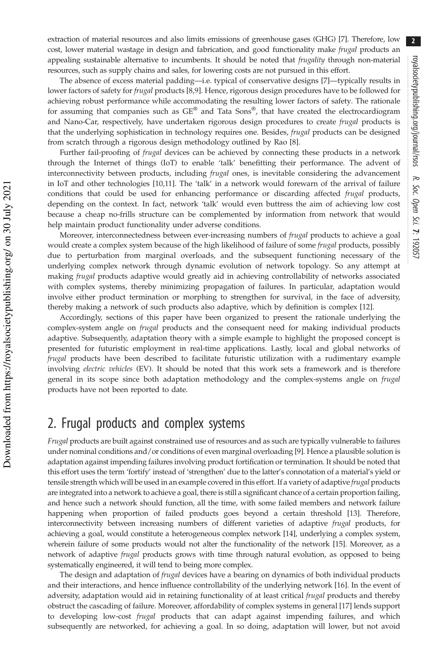extraction of material resources and also limits emissions of greenhouse gases (GHG) [7]. Therefore, low cost, lower material wastage in design and fabrication, and good functionality make frugal products an appealing sustainable alternative to incumbents. It should be noted that *frugality* through non-material resources, such as supply chains and sales, for lowering costs are not pursued in this effort.

The absence of excess material padding—i.e. typical of conservative designs [7]—typically results in lower factors of safety for frugal products [8,9]. Hence, rigorous design procedures have to be followed for achieving robust performance while accommodating the resulting lower factors of safety. The rationale for assuming that companies such as  $\text{GE}^{\circledast}$  and Tata Sons $^{\circledast}$ , that have created the electrocardiogram and Nano-Car, respectively, have undertaken rigorous design procedures to create frugal products is that the underlying sophistication in technology requires one. Besides, frugal products can be designed from scratch through a rigorous design methodology outlined by Rao [8].

Further fail-proofing of *frugal* devices can be achieved by connecting these products in a network through the Internet of things (IoT) to enable 'talk' benefitting their performance. The advent of interconnectivity between products, including *frugal* ones, is inevitable considering the advancement in IoT and other technologies [10,11]. The 'talk' in a network would forewarn of the arrival of failure conditions that could be used for enhancing performance or discarding affected frugal products, depending on the context. In fact, network 'talk' would even buttress the aim of achieving low cost because a cheap no-frills structure can be complemented by information from network that would help maintain product functionality under adverse conditions.

Moreover, interconnectedness between ever-increasing numbers of *frugal* products to achieve a goal would create a complex system because of the high likelihood of failure of some frugal products, possibly due to perturbation from marginal overloads, and the subsequent functioning necessary of the underlying complex network through dynamic evolution of network topology. So any attempt at making *frugal* products adaptive would greatly aid in achieving controllability of networks associated with complex systems, thereby minimizing propagation of failures. In particular, adaptation would involve either product termination or morphing to strengthen for survival, in the face of adversity, thereby making a network of such products also adaptive, which by definition is complex [12].

Accordingly, sections of this paper have been organized to present the rationale underlying the complex-system angle on *frugal* products and the consequent need for making individual products adaptive. Subsequently, adaptation theory with a simple example to highlight the proposed concept is presented for futuristic employment in real-time applications. Lastly, local and global networks of frugal products have been described to facilitate futuristic utilization with a rudimentary example involving electric vehicles (EV). It should be noted that this work sets a framework and is therefore general in its scope since both adaptation methodology and the complex-systems angle on *frugal* products have not been reported to date.

## 2. Frugal products and complex systems

Frugal products are built against constrained use of resources and as such are typically vulnerable to failures under nominal conditions and/or conditions of even marginal overloading [9]. Hence a plausible solution is adaptation against impending failures involving product fortification or termination. It should be noted that this effort uses the term 'fortify' instead of 'strengthen' due to the latter's connotation of a material's yield or tensile strength which will be used in an example covered in this effort. If a variety of adaptive frugal products are integrated into a network to achieve a goal, there is still a significant chance of a certain proportion failing, and hence such a network should function, all the time, with some failed members and network failure happening when proportion of failed products goes beyond a certain threshold [13]. Therefore, interconnectivity between increasing numbers of different varieties of adaptive frugal products, for achieving a goal, would constitute a heterogeneous complex network [14], underlying a complex system, wherein failure of some products would not alter the functionality of the network [15]. Moreover, as a network of adaptive frugal products grows with time through natural evolution, as opposed to being systematically engineered, it will tend to being more complex.

The design and adaptation of *frugal* devices have a bearing on dynamics of both individual products and their interactions, and hence influence controllability of the underlying network [16]. In the event of adversity, adaptation would aid in retaining functionality of at least critical frugal products and thereby obstruct the cascading of failure. Moreover, affordability of complex systems in general [17] lends support to developing low-cost frugal products that can adapt against impending failures, and which subsequently are networked, for achieving a goal. In so doing, adaptation will lower, but not avoid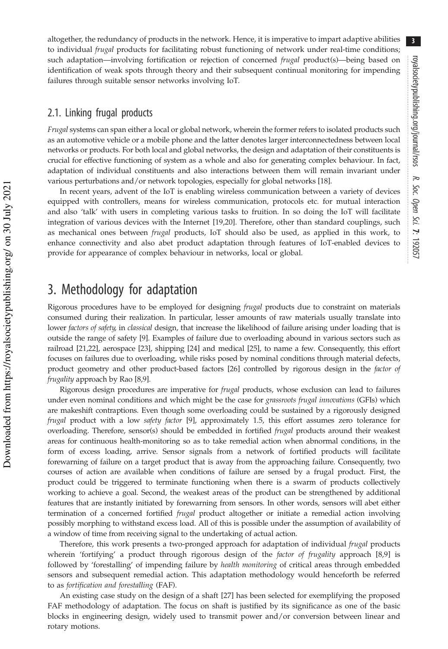altogether, the redundancy of products in the network. Hence, it is imperative to impart adaptive abilities to individual *frugal* products for facilitating robust functioning of network under real-time conditions; such adaptation—involving fortification or rejection of concerned *frugal* product(s)—being based on identification of weak spots through theory and their subsequent continual monitoring for impending failures through suitable sensor networks involving IoT.

## 2.1. Linking frugal products

Frugal systems can span either a local or global network, wherein the former refers to isolated products such as an automotive vehicle or a mobile phone and the latter denotes larger interconnectedness between local networks or products. For both local and global networks, the design and adaptation of their constituents is crucial for effective functioning of system as a whole and also for generating complex behaviour. In fact, adaptation of individual constituents and also interactions between them will remain invariant under various perturbations and/or network topologies, especially for global networks [18].

In recent years, advent of the IoT is enabling wireless communication between a variety of devices equipped with controllers, means for wireless communication, protocols etc. for mutual interaction and also 'talk' with users in completing various tasks to fruition. In so doing the IoT will facilitate integration of various devices with the Internet [19,20]. Therefore, other than standard couplings, such as mechanical ones between *frugal* products, IoT should also be used, as applied in this work, to enhance connectivity and also abet product adaptation through features of IoT-enabled devices to provide for appearance of complex behaviour in networks, local or global.

## 3. Methodology for adaptation

Rigorous procedures have to be employed for designing *frugal* products due to constraint on materials consumed during their realization. In particular, lesser amounts of raw materials usually translate into lower factors of safety, in classical design, that increase the likelihood of failure arising under loading that is outside the range of safety [9]. Examples of failure due to overloading abound in various sectors such as railroad [21,22], aerospace [23], shipping [24] and medical [25], to name a few. Consequently, this effort focuses on failures due to overloading, while risks posed by nominal conditions through material defects, product geometry and other product-based factors [26] controlled by rigorous design in the factor of frugality approach by Rao [8,9].

Rigorous design procedures are imperative for *frugal* products, whose exclusion can lead to failures under even nominal conditions and which might be the case for *grassroots frugal innovations* (GFIs) which are makeshift contraptions. Even though some overloading could be sustained by a rigorously designed frugal product with a low safety factor [9], approximately 1.5, this effort assumes zero tolerance for overloading. Therefore, sensor(s) should be embedded in fortified *frugal* products around their weakest areas for continuous health-monitoring so as to take remedial action when abnormal conditions, in the form of excess loading, arrive. Sensor signals from a network of fortified products will facilitate forewarning of failure on a target product that is away from the approaching failure. Consequently, two courses of action are available when conditions of failure are sensed by a frugal product. First, the product could be triggered to terminate functioning when there is a swarm of products collectively working to achieve a goal. Second, the weakest areas of the product can be strengthened by additional features that are instantly initiated by forewarning from sensors. In other words, sensors will abet either termination of a concerned fortified *frugal* product altogether or initiate a remedial action involving possibly morphing to withstand excess load. All of this is possible under the assumption of availability of a window of time from receiving signal to the undertaking of actual action.

Therefore, this work presents a two-pronged approach for adaptation of individual frugal products wherein 'fortifying' a product through rigorous design of the *factor of frugality* approach [8,9] is followed by 'forestalling' of impending failure by *health monitoring* of critical areas through embedded sensors and subsequent remedial action. This adaptation methodology would henceforth be referred to as fortification and forestalling (FAF).

An existing case study on the design of a shaft [27] has been selected for exemplifying the proposed FAF methodology of adaptation. The focus on shaft is justified by its significance as one of the basic blocks in engineering design, widely used to transmit power and/or conversion between linear and rotary motions.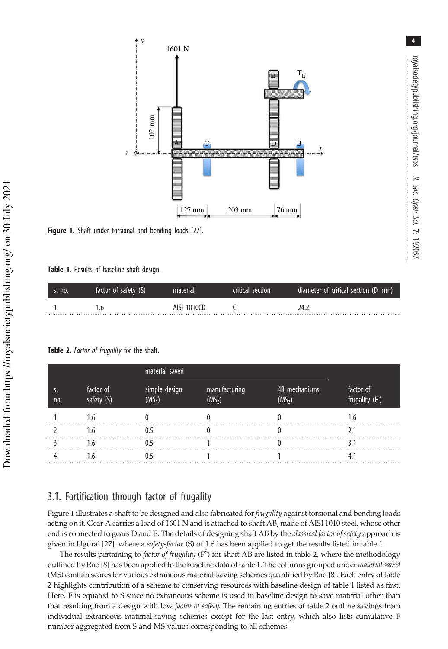

Figure 1. Shaft under torsional and bending loads [27].

#### Table 1. Results of baseline shaft design.

| $S.$ no. | factor of safety (S) | material    | critical section | diameter of critical section (D mm) |
|----------|----------------------|-------------|------------------|-------------------------------------|
|          |                      | AISI 1010CD |                  | 74.2                                |

#### Table 2. *Factor of frugality* for the shaft.

|     |                         | material saved                      |                                     |                                     |                               |  |
|-----|-------------------------|-------------------------------------|-------------------------------------|-------------------------------------|-------------------------------|--|
| no. | factor of<br>safety (S) | simple design<br>(MS <sub>1</sub> ) | manufacturing<br>(MS <sub>2</sub> ) | 4R mechanisms<br>(MS <sub>3</sub> ) | factor of<br>frugality $(Fs)$ |  |
|     |                         |                                     |                                     |                                     |                               |  |
|     |                         |                                     |                                     |                                     |                               |  |
|     |                         |                                     |                                     |                                     |                               |  |
|     |                         |                                     |                                     |                                     |                               |  |

## 3.1. Fortification through factor of frugality

Figure 1 illustrates a shaft to be designed and also fabricated for frugality against torsional and bending loads acting on it. Gear A carries a load of 1601 N and is attached to shaft AB, made of AISI 1010 steel, whose other end is connected to gears D and E. The details of designing shaft AB by the *classical factor of safety* approach is given in Ugural [27], where a safety-factor (S) of 1.6 has been applied to get the results listed in table 1.

The results pertaining to *factor of frugality* ( $F^S$ ) for shaft AB are listed in table 2, where the methodology outlined by Rao [8] has been applied to the baseline data of table 1. The columns grouped under material saved (MS) contain scores for various extraneous material-saving schemes quantified by Rao [8]. Each entry of table 2 highlights contribution of a scheme to conserving resources with baseline design of table 1 listed as first. Here, F is equated to S since no extraneous scheme is used in baseline design to save material other than that resulting from a design with low *factor of safety*. The remaining entries of table 2 outline savings from individual extraneous material-saving schemes except for the last entry, which also lists cumulative F number aggregated from S and MS values corresponding to all schemes.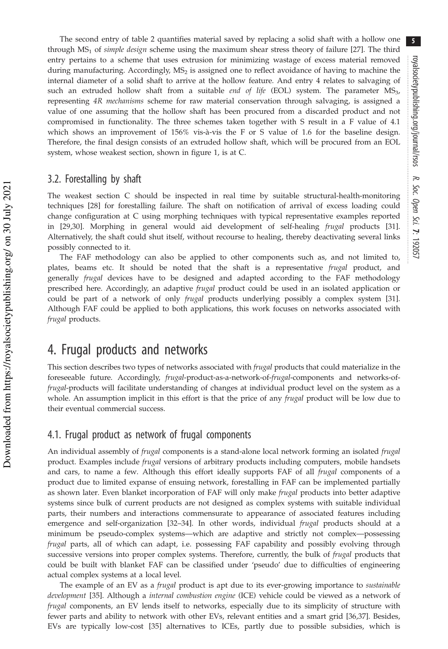The second entry of table 2 quantifies material saved by replacing a solid shaft with a hollow one through  $MS<sub>1</sub>$  of simple design scheme using the maximum shear stress theory of failure [27]. The third entry pertains to a scheme that uses extrusion for minimizing wastage of excess material removed during manufacturing. Accordingly,  $MS_2$  is assigned one to reflect avoidance of having to machine the internal diameter of a solid shaft to arrive at the hollow feature. And entry 4 relates to salvaging of such an extruded hollow shaft from a suitable *end of life* (EOL) system. The parameter  $MS_3$ , representing 4R mechanisms scheme for raw material conservation through salvaging, is assigned a value of one assuming that the hollow shaft has been procured from a discarded product and not compromised in functionality. The three schemes taken together with S result in a F value of 4.1 which shows an improvement of 156% vis-à-vis the F or S value of 1.6 for the baseline design. Therefore, the final design consists of an extruded hollow shaft, which will be procured from an EOL system, whose weakest section, shown in figure 1, is at C.

## 3.2. Forestalling by shaft

The weakest section C should be inspected in real time by suitable structural-health-monitoring techniques [28] for forestalling failure. The shaft on notification of arrival of excess loading could change configuration at C using morphing techniques with typical representative examples reported in [29,30]. Morphing in general would aid development of self-healing frugal products [31]. Alternatively, the shaft could shut itself, without recourse to healing, thereby deactivating several links possibly connected to it.

The FAF methodology can also be applied to other components such as, and not limited to, plates, beams etc. It should be noted that the shaft is a representative frugal product, and generally frugal devices have to be designed and adapted according to the FAF methodology prescribed here. Accordingly, an adaptive frugal product could be used in an isolated application or could be part of a network of only frugal products underlying possibly a complex system [31]. Although FAF could be applied to both applications, this work focuses on networks associated with frugal products.

## 4. Frugal products and networks

This section describes two types of networks associated with *frugal* products that could materialize in the foreseeable future. Accordingly, frugal-product-as-a-network-of-frugal-components and networks-offrugal-products will facilitate understanding of changes at individual product level on the system as a whole. An assumption implicit in this effort is that the price of any *frugal* product will be low due to their eventual commercial success.

#### 4.1. Frugal product as network of frugal components

An individual assembly of frugal components is a stand-alone local network forming an isolated frugal product. Examples include *frugal* versions of arbitrary products including computers, mobile handsets and cars, to name a few. Although this effort ideally supports FAF of all frugal components of a product due to limited expanse of ensuing network, forestalling in FAF can be implemented partially as shown later. Even blanket incorporation of FAF will only make *frugal* products into better adaptive systems since bulk of current products are not designed as complex systems with suitable individual parts, their numbers and interactions commensurate to appearance of associated features including emergence and self-organization [32-34]. In other words, individual *frugal* products should at a minimum be pseudo-complex systems—which are adaptive and strictly not complex—possessing frugal parts, all of which can adapt, i.e. possessing FAF capability and possibly evolving through successive versions into proper complex systems. Therefore, currently, the bulk of *frugal* products that could be built with blanket FAF can be classified under 'pseudo' due to difficulties of engineering actual complex systems at a local level.

The example of an EV as a *frugal* product is apt due to its ever-growing importance to *sustainable* development [35]. Although a internal combustion engine (ICE) vehicle could be viewed as a network of frugal components, an EV lends itself to networks, especially due to its simplicity of structure with fewer parts and ability to network with other EVs, relevant entities and a smart grid [36,37]. Besides, EVs are typically low-cost [35] alternatives to ICEs, partly due to possible subsidies, which is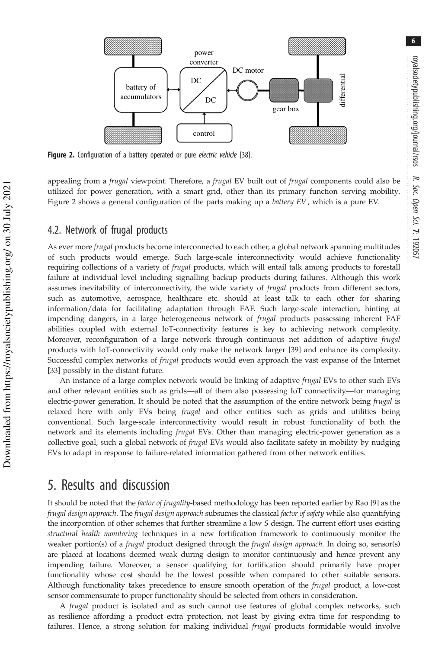

Figure 2. Configuration of a battery operated or pure *electric vehicle* [38].

appealing from a frugal viewpoint. Therefore, a frugal EV built out of frugal components could also be utilized for power generation, with a smart grid, other than its primary function serving mobility. Figure 2 shows a general configuration of the parts making up a battery EV, which is a pure EV.

#### 4.2. Network of frugal products

As ever more *frugal* products become interconnected to each other, a global network spanning multitudes of such products would emerge. Such large-scale interconnectivity would achieve functionality requiring collections of a variety of *frugal* products, which will entail talk among products to forestall failure at individual level including signalling backup products during failures. Although this work assumes inevitability of interconnectivity, the wide variety of *frugal* products from different sectors, such as automotive, aerospace, healthcare etc. should at least talk to each other for sharing information/data for facilitating adaptation through FAF. Such large-scale interaction, hinting at impending dangers, in a large heterogeneous network of frugal products possessing inherent FAF abilities coupled with external IoT-connectivity features is key to achieving network complexity. Moreover, reconfiguration of a large network through continuous net addition of adaptive *frugal* products with IoT-connectivity would only make the network larger [39] and enhance its complexity. Successful complex networks of *frugal* products would even approach the vast expanse of the Internet [33] possibly in the distant future.

An instance of a large complex network would be linking of adaptive frugal EVs to other such EVs and other relevant entities such as grids—all of them also possessing IoT connectivity—for managing electric-power generation. It should be noted that the assumption of the entire network being *frugal* is relaxed here with only EVs being *frugal* and other entities such as grids and utilities being conventional. Such large-scale interconnectivity would result in robust functionality of both the network and its elements including *frugal* EVs. Other than managing electric-power generation as a collective goal, such a global network of frugal EVs would also facilitate safety in mobility by nudging EVs to adapt in response to failure-related information gathered from other network entities.

## 5. Results and discussion

It should be noted that the factor of frugality-based methodology has been reported earlier by Rao [9] as the frugal design approach. The frugal design approach subsumes the classical factor of safety while also quantifying the incorporation of other schemes that further streamline a low S design. The current effort uses existing structural health monitoring techniques in a new fortification framework to continuously monitor the weaker portion(s) of a frugal product designed through the frugal design approach. In doing so, sensor(s) are placed at locations deemed weak during design to monitor continuously and hence prevent any impending failure. Moreover, a sensor qualifying for fortification should primarily have proper functionality whose cost should be the lowest possible when compared to other suitable sensors. Although functionality takes precedence to ensure smooth operation of the *frugal* product, a low-cost sensor commensurate to proper functionality should be selected from others in consideration.

A *frugal* product is isolated and as such cannot use features of global complex networks, such as resilience affording a product extra protection, not least by giving extra time for responding to failures. Hence, a strong solution for making individual *frugal* products formidable would involve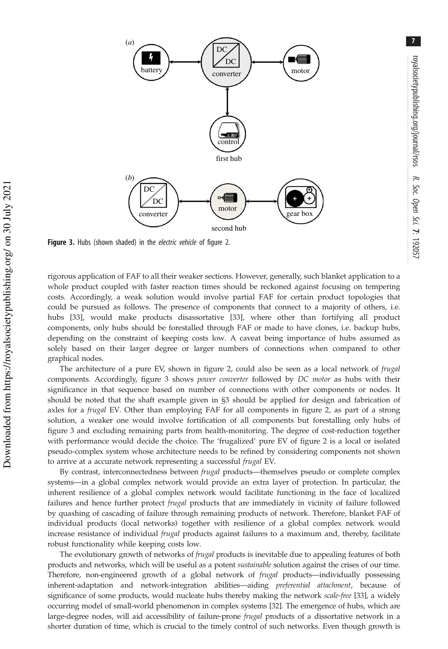

Figure 3. Hubs (shown shaded) in the *electric vehicle* of figure 2.

rigorous application of FAF to all their weaker sections. However, generally, such blanket application to a whole product coupled with faster reaction times should be reckoned against focusing on tempering costs. Accordingly, a weak solution would involve partial FAF for certain product topologies that could be pursued as follows. The presence of components that connect to a majority of others, i.e. hubs [33], would make products disassortative [33], where other than fortifying all product components, only hubs should be forestalled through FAF or made to have clones, i.e. backup hubs, depending on the constraint of keeping costs low. A caveat being importance of hubs assumed as solely based on their larger degree or larger numbers of connections when compared to other graphical nodes.

The architecture of a pure EV, shown in figure 2, could also be seen as a local network of frugal components. Accordingly, figure 3 shows power converter followed by DC motor as hubs with their significance in that sequence based on number of connections with other components or nodes. It should be noted that the shaft example given in §3 should be applied for design and fabrication of axles for a *frugal* EV. Other than employing FAF for all components in figure 2, as part of a strong solution, a weaker one would involve fortification of all components but forestalling only hubs of figure 3 and excluding remaining parts from health-monitoring. The degree of cost-reduction together with performance would decide the choice. The 'frugalized' pure EV of figure 2 is a local or isolated pseudo-complex system whose architecture needs to be refined by considering components not shown to arrive at a accurate network representing a successful frugal EV.

By contrast, interconnectedness between frugal products—themselves pseudo or complete complex systems—in a global complex network would provide an extra layer of protection. In particular, the inherent resilience of a global complex network would facilitate functioning in the face of localized failures and hence further protect frugal products that are immediately in vicinity of failure followed by quashing of cascading of failure through remaining products of network. Therefore, blanket FAF of individual products (local networks) together with resilience of a global complex network would increase resistance of individual *frugal* products against failures to a maximum and, thereby, facilitate robust functionality while keeping costs low.

The evolutionary growth of networks of frugal products is inevitable due to appealing features of both products and networks, which will be useful as a potent sustainable solution against the crises of our time. Therefore, non-engineered growth of a global network of *frugal* products—individually possessing inherent-adaptation and network-integration abilities—aiding *preferential attachment*, because of significance of some products, would nucleate hubs thereby making the network scale-free [33], a widely occurring model of small-world phenomenon in complex systems [32]. The emergence of hubs, which are large-degree nodes, will aid accessibility of failure-prone *frugal* products of a dissortative network in a shorter duration of time, which is crucial to the timely control of such networks. Even though growth is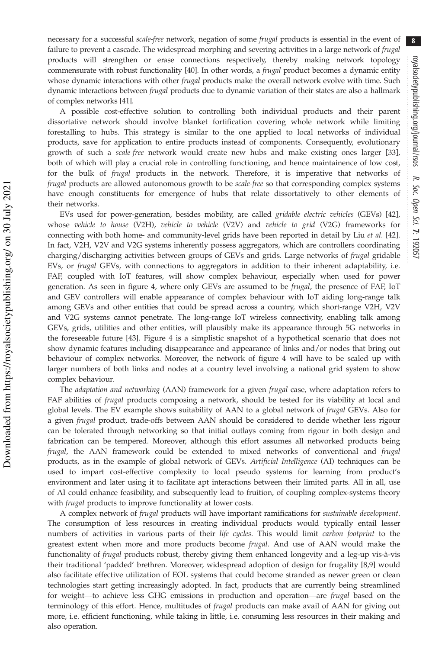necessary for a successful scale-free network, negation of some frugal products is essential in the event of failure to prevent a cascade. The widespread morphing and severing activities in a large network of frugal products will strengthen or erase connections respectively, thereby making network topology commensurate with robust functionality [40]. In other words, a *frugal* product becomes a dynamic entity whose dynamic interactions with other *frugal* products make the overall network evolve with time. Such dynamic interactions between *frugal* products due to dynamic variation of their states are also a hallmark of complex networks [41].

A possible cost-effective solution to controlling both individual products and their parent dissortative network should involve blanket fortification covering whole network while limiting forestalling to hubs. This strategy is similar to the one applied to local networks of individual products, save for application to entire products instead of components. Consequently, evolutionary growth of such a scale-free network would create new hubs and make existing ones larger [33], both of which will play a crucial role in controlling functioning, and hence maintainence of low cost, for the bulk of frugal products in the network. Therefore, it is imperative that networks of frugal products are allowed autonomous growth to be scale-free so that corresponding complex systems have enough constituents for emergence of hubs that relate dissortatively to other elements of their networks.

EVs used for power-generation, besides mobility, are called gridable electric vehicles (GEVs) [42], whose vehicle to house (V2H), vehicle to vehicle (V2V) and vehicle to grid (V2G) frameworks for connecting with both home- and community-level grids have been reported in detail by Liu et al. [42]. In fact, V2H, V2V and V2G systems inherently possess aggregators, which are controllers coordinating charging/discharging activities between groups of GEVs and grids. Large networks of frugal gridable EVs, or *frugal* GEVs, with connections to aggregators in addition to their inherent adaptability, i.e. FAF, coupled with IoT features, will show complex behaviour, especially when used for power generation. As seen in figure 4, where only GEVs are assumed to be frugal, the presence of FAF, IoT and GEV controllers will enable appearance of complex behaviour with IoT aiding long-range talk among GEVs and other entities that could be spread across a country, which short-range V2H, V2V and V2G systems cannot penetrate. The long-range IoT wireless connectivity, enabling talk among GEVs, grids, utilities and other entities, will plausibly make its appearance through 5G networks in the foreseeable future [43]. Figure 4 is a simplistic snapshot of a hypothetical scenario that does not show dynamic features including disappearance and appearance of links and/or nodes that bring out behaviour of complex networks. Moreover, the network of figure 4 will have to be scaled up with larger numbers of both links and nodes at a country level involving a national grid system to show complex behaviour.

The adaptation and networking (AAN) framework for a given frugal case, where adaptation refers to FAF abilities of *frugal* products composing a network, should be tested for its viability at local and global levels. The EV example shows suitability of AAN to a global network of frugal GEVs. Also for a given *frugal* product, trade-offs between AAN should be considered to decide whether less rigour can be tolerated through networking so that initial outlays coming from rigour in both design and fabrication can be tempered. Moreover, although this effort assumes all networked products being frugal, the AAN framework could be extended to mixed networks of conventional and frugal products, as in the example of global network of GEVs. Artificial Intelligence (AI) techniques can be used to impart cost-effective complexity to local pseudo systems for learning from product's environment and later using it to facilitate apt interactions between their limited parts. All in all, use of AI could enhance feasibility, and subsequently lead to fruition, of coupling complex-systems theory with *frugal* products to improve functionality at lower costs.

A complex network of frugal products will have important ramifications for sustainable development. The consumption of less resources in creating individual products would typically entail lesser numbers of activities in various parts of their life cycles. This would limit carbon footprint to the greatest extent when more and more products become frugal. And use of AAN would make the functionality of frugal products robust, thereby giving them enhanced longevity and a leg-up vis-à-vis their traditional 'padded' brethren. Moreover, widespread adoption of design for frugality [8,9] would also facilitate effective utilization of EOL systems that could become stranded as newer green or clean technologies start getting increasingly adopted. In fact, products that are currently being streamlined for weight—to achieve less GHG emissions in production and operation—are *frugal* based on the terminology of this effort. Hence, multitudes of frugal products can make avail of AAN for giving out more, i.e. efficient functioning, while taking in little, i.e. consuming less resources in their making and also operation.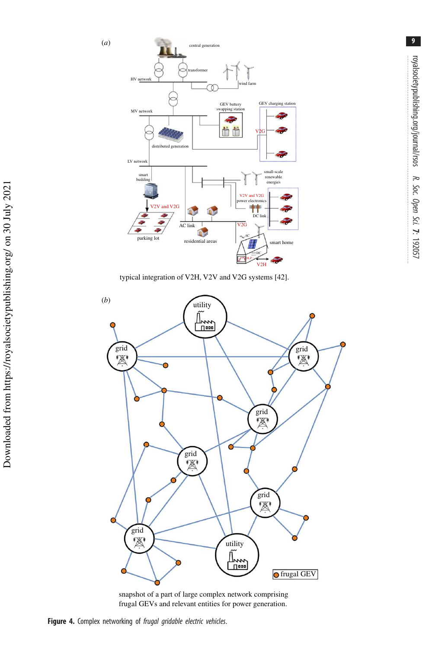

typical integration of V2H, V2V and V2G systems [42].



snapshot of a part of large complex network comprising frugal GEVs and relevant entities for power generation.

Figure 4. Complex networking of *frugal gridable electric vehicles* .

( *a* )

Downloaded from https://royalsocietypublishing.org/ on 30 July 2021

Downloaded from https://royalsocietypublishing.org/ on 30 July 2021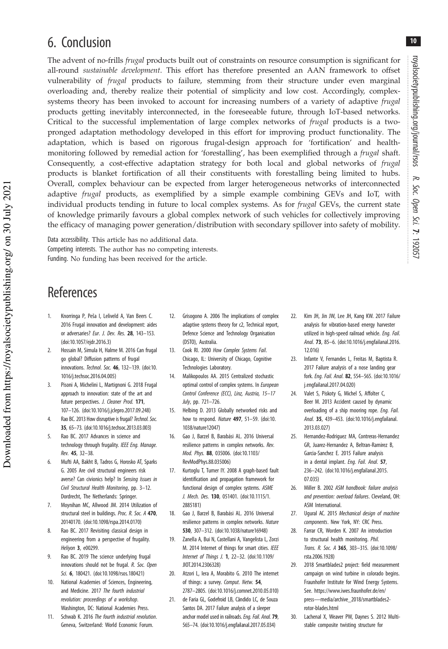10

## 6. Conclusion

The advent of no-frills *frugal* products built out of constraints on resource consumption is significant for all-round sustainable development. This effort has therefore presented an AAN framework to offset vulnerability of frugal products to failure, stemming from their structure under even marginal overloading and, thereby realize their potential of simplicity and low cost. Accordingly, complexsystems theory has been invoked to account for increasing numbers of a variety of adaptive *frugal* products getting inevitably interconnected, in the foreseeable future, through IoT-based networks. Critical to the successful implementation of large complex networks of frugal products is a twopronged adaptation methodology developed in this effort for improving product functionality. The adaptation, which is based on rigorous frugal-design approach for 'fortification' and healthmonitoring followed by remedial action for 'forestalling', has been exemplified through a *frugal* shaft. Consequently, a cost-effective adaptation strategy for both local and global networks of frugal products is blanket fortification of all their constituents with forestalling being limited to hubs. Overall, complex behaviour can be expected from larger heterogeneous networks of interconnected adaptive frugal products, as exemplified by a simple example combining GEVs and IoT, with individual products tending in future to local complex systems. As for frugal GEVs, the current state of knowledge primarily favours a global complex network of such vehicles for collectively improving the efficacy of managing power generation/distribution with secondary spillover into safety of mobility.

Data accessibility. This article has no additional data. Competing interests. The author has no competing interests. Funding. No funding has been received for the article.

## References

- 1. Knorringa P, Peša I, Leliveld A, Van Beers C. 2016 Frugal innovation and development: aides or adversaries? *Eur. J. Dev. Res.* 28, 143–153. (doi:10.1057/ejdr.2016.3)
- 2. Hossain M, Simula H, Halme M. 2016 Can frugal go global? Diffusion patterns of frugal innovations. *Technol. Soc.* 46, 132–139. (doi:10. 1016/j.techsoc.2016.04.005)
- 3. Pisoni A, Michelini L, Martignoni G. 2018 Frugal approach to innovation: state of the art and future perspectives. *J. Cleaner Prod.* 171, 107–126. (doi:10.1016/j.jclepro.2017.09.248)
- 4. Rao BC. 2013 How disruptive is frugal? *Technol. Soc.* 35, 65–73. (doi:10.1016/j.techsoc.2013.03.003)
- 5. Rao BC. 2017 Advances in science and technology through frugality. *IEEE Eng. Manage. Rev.* 45, 32–38.
- 6. Mufti AA, Bakht B, Tadros G, Horosko AT, Sparks G. 2005 Are civil structural engineers risk averse? Can civionics help? In *Sensing Issues in Civil Structural Health Monitoring*, pp. 3–12. Dordrecht, The Netherlands: Springer.
- 7. Moynihan MC, Allwood JM. 2014 Utilization of structural steel in buildings. *Proc. R. Soc. A* 470, 20140170. (doi:10.1098/rspa.2014.0170)
- 8. Rao BC. 2017 Revisiting classical design in engineering from a perspective of frugality. *Heliyon* 3, e00299.
- 9. Rao BC. 2019 The science underlying frugal innovations should not be frugal. *R. Soc. Open Sci.* 6, 180421. (doi:10.1098/rsos.180421)
- 10. National Academies of Sciences, Engineering, and Medicine. 2017 *The fourth industrial revolution: proceedings of a workshop*. Washington, DC: National Academies Press.
- 11. Schwab K. 2016 *The fourth industrial revolution*. Geneva, Switzerland: World Economic Forum.
- 12. Grisogono A. 2006 The implications of complex adaptive systems theory for c2, Technical report, Defence Science and Technology Organisation (DSTO), Australia.
- 13. Cook RI. 2000 *How Complex Systems Fail*. Chicago, IL: University of Chicago, Cognitive Technologies Laboratory.
- 14. Malikopoulos AA. 2015 Centralized stochastic optimal control of complex systems. In *European Control Conference (ECC), Linz, Austria, 15*–*17 July*, pp. 721–726.
- 15. Helbing D. 2013 Globally networked risks and how to respond. *Nature* 497, 51–59. (doi:10. 1038/nature12047)
- 16. Gao J, Barzel B, Barabási AL. 2016 Universal resilience patterns in complex networks. *Rev. Mod. Phys.* 88, 035006. (doi:10.1103/ RevModPhys.88.035006)
- 17. Kurtoglu T, Tumer IY. 2008 A graph-based fault identification and propagation framework for functional design of complex systems. *ASME J. Mech. Des.* 130, 051401. (doi:10.1115/1. 2885181)
- 18. Gao J, Barzel B, Barabási AL. 2016 Universal resilience patterns in complex networks. *Nature* 530, 307–312. (doi:10.1038/nature16948)
- 19. Zanella A, Bui N, Castellani A, Vangelista L, Zorzi M. 2014 Internet of things for smart cities. *IEEE Internet of Things J.* 1, 22–32. (doi:10.1109/ JIOT.2014.2306328)
- 20. Atzori L, Iera A, Morabito G. 2010 The internet of things: a survey. *Comput. Netw.* 54, 2787–2805. (doi:10.1016/j.comnet.2010.05.010)
- 21. de Faria GL, Godefroid LB, Cândido LC, de Souza Santos DA. 2017 Failure analysis of a sleeper anchor model used in railroads. *Eng. Fail. Anal.* 79, 565–74. (doi:10.1016/j.engfailanal.2017.05.034)
- 22. Kim JH, Jin JW, Lee JH, Kang KW. 2017 Failure analysis for vibration-based energy harvester utilized in high-speed railroad vehicle. *Eng. Fail. Anal.* 73, 85–6. (doi:10.1016/j.engfailanal.2016. 12.016)
- 23. Infante V, Fernandes L, Freitas M, Baptista R. 2017 Failure analysis of a nose landing gear fork. *Eng. Fail. Anal.* 82, 554–565. (doi:10.1016/ j.engfailanal.2017.04.020)
- 24. Valet S, Piskoty G, Michel S, Affolter C, Beer M. 2013 Accident caused by dynamic overloading of a ship mooring rope. *Eng. Fail. Anal.* 35, 439–453. (doi:10.1016/j.engfailanal. 2013.03.027)
- 25. Hernandez-Rodriguez MA, Contreras-Hernandez GR, Juarez-Hernandez A, Beltran-Ramirez B, Garcia-Sanchez E. 2015 Failure analysis in a dental implant. *Eng. Fail. Anal.* 57, 236–242. (doi:10.1016/j.engfailanal.2015. 07.035)
- 26. Miller B. 2002 *ASM handbook: failure analysis and prevention: overload failures*. Cleveland, OH: ASM International.
- 27. Ugural AC. 2015 *Mechanical design of machine components*. New York, NY: CRC Press.
- 28. Farrar CR, Worden K. 2007 An introduction to structural health monitoring. *Phil. Trans. R. Soc. A* 365, 303–315. (doi:10.1098/ rsta.2006.1928)
- 29. 2018 Smartblades2 project: field measurement campaign on wind turbine in colorado begins. Fraunhofer Institute for Wind Energy Systems. See. https://www.iwes.fraunhofer.de/en/ press—media/archive\_2018/smartblades2 rotor-blades.html
- 30. Lachenal X, Weaver PW, Daynes S. 2012 Multistable composite twisting structure for